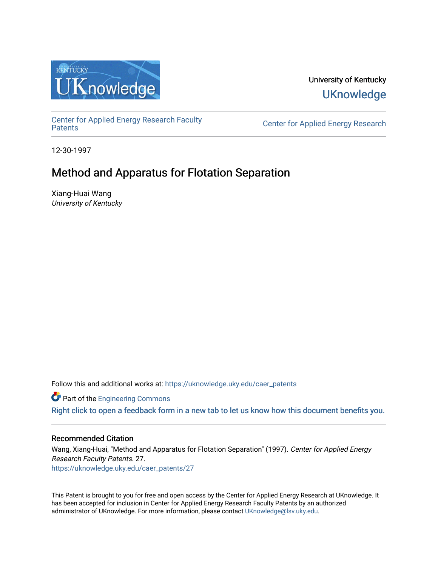

University of Kentucky **UKnowledge** 

[Center for Applied Energy Research Faculty](https://uknowledge.uky.edu/caer_patents)

Center for Applied Energy Research

12-30-1997

# Method and Apparatus for Flotation Separation

Xiang-Huai Wang University of Kentucky

Follow this and additional works at: [https://uknowledge.uky.edu/caer\\_patents](https://uknowledge.uky.edu/caer_patents?utm_source=uknowledge.uky.edu%2Fcaer_patents%2F27&utm_medium=PDF&utm_campaign=PDFCoverPages) 

**Part of the [Engineering Commons](http://network.bepress.com/hgg/discipline/217?utm_source=uknowledge.uky.edu%2Fcaer_patents%2F27&utm_medium=PDF&utm_campaign=PDFCoverPages)** 

[Right click to open a feedback form in a new tab to let us know how this document benefits you.](https://uky.az1.qualtrics.com/jfe/form/SV_9mq8fx2GnONRfz7)

# Recommended Citation

Wang, Xiang-Huai, "Method and Apparatus for Flotation Separation" (1997). Center for Applied Energy Research Faculty Patents. 27. [https://uknowledge.uky.edu/caer\\_patents/27](https://uknowledge.uky.edu/caer_patents/27?utm_source=uknowledge.uky.edu%2Fcaer_patents%2F27&utm_medium=PDF&utm_campaign=PDFCoverPages)

This Patent is brought to you for free and open access by the Center for Applied Energy Research at UKnowledge. It has been accepted for inclusion in Center for Applied Energy Research Faculty Patents by an authorized administrator of UKnowledge. For more information, please contact [UKnowledge@lsv.uky.edu](mailto:UKnowledge@lsv.uky.edu).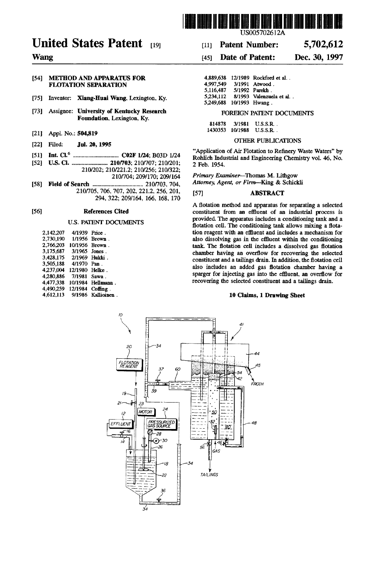

# United States Patent [19] [11] Patent Number: 5,702,612

## [54] METHOD AND APPARATUS FOR FLOTATION SEPARATION

- [75] Inventor: Xiang-Huai Wang, Lexington, Ky.
- [73] Assignee: University of Kentucky Research FOREIGN PATENT DOCUMENTS Foundation. Lexington. Ky.
- [21] Appl. No.: 504,819
- [22] Filed: **Jul. 20, 1995 COUNS**
- 

[52] US. Cl. ........................ .. 210/703; 210/707; 210/201; 2 Feb 1954' 210/202; 210/221.2; 210/256; 210/322;<br>210/704; 209/170; 209/164 Primary Examiner—Thomas M. Lithgow

210/704; 209/170; 209/164 P?mww EwwnePThOma-SM» Ll?lgqw . [58] Field of Search ................................... .. 210/103. 704. "may, 1488"" 0' ?rm-'(mg & Schlckh 210/705. 706. 707, 202. 221.2. 256, 201, [57] ABSTRACT 294, 322; 209/164, 166, 168. 170

| 2.142.207 | 4/1939 Price. |               |
|-----------|---------------|---------------|
| 2.730.190 |               | 1/1956 Brown. |
| 2.766.203 | 10/1956       | Brown.        |
| 3.175.687 | 3/1965 Jones. |               |
| 3,428,175 | 2/1969        | Hukki.        |
| 3,505,188 | 4/1970        | Pan.          |
| 4.237,004 | 12/1980       | Helke.        |
| 4.280,886 | 7/1981        | Sawa.         |
| 4.477.338 | 10/1984       | Hellmann.     |
| 4,490,259 | 12/1984       | Coffing.      |
| 4.612.113 | 9/1986        | Kallioinen    |

# Us005702612A

# Wang [45] Date of Patent: Dec. 30, 1997

|                          | 4.889.638 12/1989 Rockford et al. |
|--------------------------|-----------------------------------|
|                          | 3/1991 Atwood.                    |
|                          | 5/1992 Parekh.                    |
|                          | 8/1993 Valenzuela et al.          |
| 5.249.688 10/1993 Hwang. |                                   |
|                          |                                   |

| 814878   | 3/1981  | $U.S.S.R.$ .    |
|----------|---------|-----------------|
| 1430353. | 10/1988 | <b>U.S.S.R.</b> |

6 . "Application of Air Flotation to Re?nery Waste Waters" by [51] Int. Cl. ............................... .. C02F 1/24, B03D 1/24 Roh?ch Indusmal and Engine?mg Chemistry VOL 46' No\_

A flotation method and apparatus for separating a selected [56] **References Cited** constituent from an effluent of an industrial process is U.S. PATENT DOCUMENTS **2008** Provided. The apparatus includes a conditioning tank and a movided. The conditioning tank allows mixing a flotation reagent with an effluent and includes a mechanism for also dissolving gas in the effluent within the conditioning tank. The flotation cell includes a dissolved gas flotation chamber having an overflow for recovering the selected constituent and a tailings drain. In addition, the flotation cell also includes an added gas flotation chamber having a sparger for injecting gas into the effluent, an overflow for recovering the selected constituent and a tailings drain.

# 10 Claims, 1 Drawing Sheet

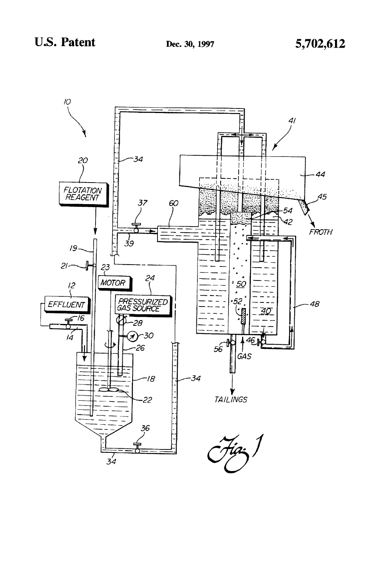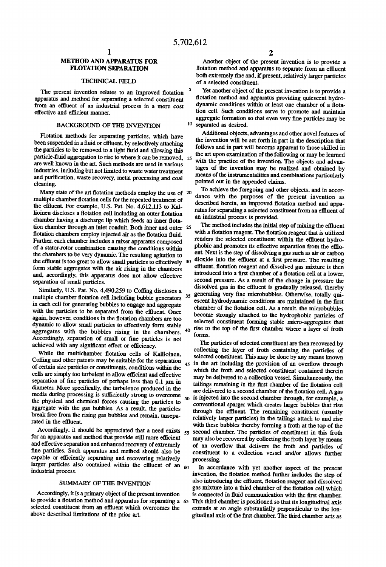# METHOD AND APPARATUS FOR FLOTATION SEPARATION

# TECHNICAL FIELD

The present invention relates to an improved flotation apparatus and method for separating a selected constituent from an effluent of an industrial process in a more cost effective and efficient manner.

### BACKGROUND OF THE INVENTION

Flotation methods for separating particles, which have been suspended in a fluid or effluent, by selectively attaching the particles to be removed to a light fluid and allowing this particle-fluid aggregation to rise to where it can be removed, 15 are well known in the art. Such methods are used in various industries. including but not limited to waste water treatment and purification, waste recovery, metal processing and coal cleaning.

Many state of the art flotation methods employ the use of  $20$ multiple chamber flotation cells for the repeated treatment of the effluent. For example, U.S. Pat. No. 4,612,113 to Kallioinen discloses a flotation cell including an outer flotation chamber having a discharge lip which feeds an inner flotation chamber through an inlet conduit. Both inner and outer 25 flotation chambers employ injected air as the flotation fluid. Further. each chamber includes a mixer apparatus composed of a stator-rotor combination causing the conditions within the chambers to be very dynamic. The resulting agitation to the effluent is too great to allow small particles to effectively 30 form stable aggregates with the air rising in the chambers and, accordingly, this apparatus does not allow effective separation of small particles.

Similarly, U.S. Pat. No. 4,490,259 to Coffing discloses a multiple chamber flotation cell including bubble generators  $35$ in each cell for generating bubbles to engage and aggregate with the particles to be separated from the effluent. Once again, however, conditions in the flotation chambers are too dynamic to allow small particles to effectively form stable<br>accreasing with the hyphology in the signal day aggregates with the bubbles rising in the chambers. Accordingly, separation of small or fine particles is not achieved with any significant effect or efficiency.

While the multichamber flotation cells of Kallioinen. Coffing and other patents may be suitable for the separation of certain size particles or constituents. conditions within the cells are simply too turbulent to allow efficient and effective separation of fine particles of perhaps less than 0.1 um in diameter. More specifically, the turbulence produced in the media during processing is sufficiently strong to overcome the physical and chemical forces causing the particles to aggregate with the gas bubbles. As a result, the particles break free from the rising gas bubbles and remain, unsepa rated in the effluent.

Accordingly. it should be appreciated that a need exists for an apparatus and method that provide still more efficient and effective separation and enhanced recovery of extremely fine particles. Such apparatus and method should also be capable or efficiently separating and recovering relatively larger particles also contained within the effluent of an  $60$ industrial process.

# SUMMARY OF THE INVENTION

Accordingly, it is a primary object of the present invention to provide a flotation method and apparatus for separating a 65 This third chamber is positioned so that its longitudinal axis selected constituent from an effluent which overcomes the above described limitations of the prior art.

Another object of the present invention is to provide a flotation method and apparatus to separate from an effluent both extremely fine and, if present, relatively larger particles of a selected constituent.

10 separated as desired. Yet another object of the present invention is to provide a flotation method and apparatus providing quiescent hydrodynamic conditions within at least one chamber of a flotation cell. Such conditions serve to promote and maintain aggregate formation so that even very fine particles may be

Additional objects, advantages and other novel features of the invention will be set forth in part in the description that follows and in part will become apparent to those skilled in the art upon examination of the following or may be learned with the practice of the invention. The objects and advantages of the invention may be realized and obtained by means of the instrumentalities and combinations particularly pointed out in the appended claims.

To achieve the foregoing and other objects. and in accor dance with the purposes of the present invention as described herein, an improved flotation method and apparatus for separating a selected constituent from an effluent of an industrial process is provided.

The method includes the initial step of mixing the effluent with a flotation reagent. The flotation reagent that is utilized renders the selected constituent within the effluent hydrophobic and promotes its effective separation from the effluent. Next is the step of dissolving a gas such as air or carbon dioxide into the effluent at a first pressure. The resulting effluent, flotation reagent and dissolved gas mixture is then introduced into a first chamber of a flotation cell at a lower. second pressure. As a result of the change in pressure the dissolved gas in the effluent is gradually released, thereby generating very fine microbubbles. Otherwise, totally quiescent hydrodynamic conditions are maintained in the first chamber of the flotation cell. As a result, the microbubbles become strongly attached to the hydrophobic particles of selected constituent forming stable micro-aggregates that rise to the top of the first chamber where a layer of froth forms.

45 in the art including the provision of an overflow through 50 is injected into the second chamber through, for example. a 55 second chamber. The particles of constituent in this froth The particles of selected constituent are then recovered by collecting the layer of froth containing the particles of selected constituent. This may be done by any means known which the froth and selected constituent contained therein may be delivered to a collection vessel. Simultaneously, the tailings remaining in the first chamber of the flotation cell are delivered to a second chamber of the flotation cell. A gas conventional sparger which creates larger bubbles that rise through the effluent. The remaining constituent (usually relatively larger particles) in the tailings attach to and rise with these bubbles thereby forming a froth at the top of the may also be recovered by collecting the froth layer by means of an overflow that delivers the froth and particles of constituent to a collection vessel and/or allows further processing.

In accordance with yet another aspect of the present invention, the flotation method further includes the step of also introducing the effluent, flotation reagent and dissolved gas mixture into a third chamber of the flotation cell which is connected in fluid communication with the first chamber. extends at an angle substantially perpendicular to the lon gitudinal axis of the first chamber. The third chamber acts as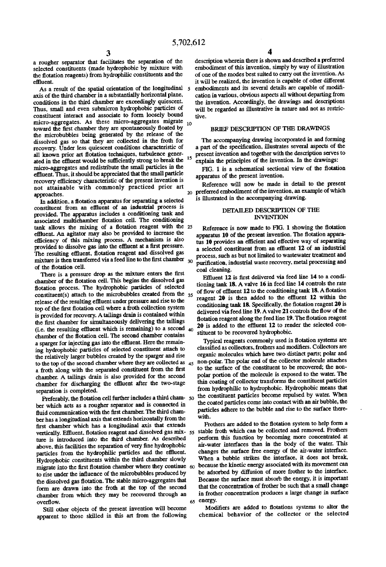3<br>a rougher separator that facilitates the separation of the selected constituents (made hydrophobic by mixture with the flotation reagents) from hydrophilic constituents and the effluent.

As a result of the spatial orientation of the longitudinal 5 axis of the third chamber in a substantially horizontal plane. conditions in the third chamber are exceedingly quiescent. Thus. small and even submicron hydrophobic particles of constituent interact and associate to form loosely bound  $micro-aggregates$ . As these micro-aggregates migrate  $_{10}$ toward the first chamber they are spontaneously floated by the microbubbles being generated by the release of the dissolved gas so that they are collected in the froth for recovery. Under less quiescent conditions characteristic of all known prior art flotation techniques, turbulence generated in the effluent would be sufficiently strong to break the <sup>15</sup> micro-aggregates and redistribute the small particles in the effluent. Thus, it should be appreciated that the small particle recovery efficiency characteristic of the present invention is not attainable with commonly practiced prior art approaches.

In addition, a flotation apparatus for separating a selected constituent from an effluent of an industrial process is provided. The apparatus includes a conditioning tank and associated multichamber flotation cell. The conditioning tank allows the mixing of a flotation reagent with the 25 effluent. An agitator may also be provided to increase the efficiency of this mixing process. A mechanism is also provided to dissolve gas into the effluent at a first pressure. The resulting effluent, flotation reagent and dissolved gas mixture is then transferred via a feed line to the first chamber  $_{30}$ of the flotation cell.

There is a pressure drop as the mixture enters the first chamber of the flotation cell. This begins the dissolved gas flotation process. The hydrophobic particles of selected constituent(s) attach to the microbubbles created from the 35 release of the resulting effluent under pressure and rise to the top of the first flotation cell where a froth collection system is provided for recovery. A tailings drain is contained within the first chamber for simultaneously delivering the tailings (i.e. the resulting effluent which is remaining) to a second  $40$ chamber of the flotation cell. The second chamber contains a sparger for injecting gas into the effluent. Here the remain ing hydrophobic particles of selected constituent attach to the relatively larger bubbles created by the sparger and rise to the top of the second chamber where they are collected as 45 a froth along with the separated constituent from the first chamber. A tailings drain is also provided for the second chamber for discharging the effluent after the two-stage separation is completed.

Preferably, the flotation cell further includes a third cham- 50 ber which acts as a rougher separator and is connected in fluid communication with the first chamber. The third chamber has a longitudinal axis that extends horizontally from the first chamber which has a longitudinal axis that extends ture is introduced into the third chamber. As described above, this facilities the separation of very fine hydrophobic particles from the hydrophilic particles and the effluent. Hydrophobic constituents within the third chamber slowly migrate into the first flotation chamber where they continue 60 to rise under the influence of the microbubbles produced by the dissolved gas flotation. The stable micro-aggregates that form are drawn into the froth at the top of the second chamber from which they may be recovered through an overflow.

Still other objects of the present invention will become apparent to those skilled in this art from the following description wherein there is shown and described a preferred embodiment of this invention. simply by way of illustration of one of the modes best suited to carry out the invention. As it will be realized, the invention is capable of other different embodiments and its several details are capable of modification in various, obvious aspects all without departing from the invention. Accordingly. the drawings and descriptions will be regarded as illustrative in nature and not as restric tive.

### BRIEF DESCRIPTION OF THE DRAWINGS

The accompanying drawing incorporated in and forming a part of the specification. illustrates several aspects of the present invention and together with the description serves to explain the principles of the invention. In the drawings:

FIG. 1 is a schematical sectional view of the flotation apparatus of the present invention.

Reference will now be made in detail to the present preferred embodiment of the invention. an example of which is illustrated in the accompanying drawing.

# DETAILED DESCRIPTION OF THE **INVENTION**

Reference is now made to FIG. 1 showing the flotation apparatus 10 of the present invention. The flotation apparatus 10 provides an efficient and effective way of separating a selected constituent from an effluent 12 of an industrial process, such as but not limited to wastewater treatment and purification, industrial waste recovery, metal processing and coal cleaning.

Effluent 12 is first delivered via feed line 14 to a conditioning tank 18. A valve 16 in feed line 14 controls the rate of flow of effluent 12 to the conditioning tank 18. A flotation reagent 20 is then added to the effluent 12 within the conditioning tank 18. Specifically, the flotation reagent 20 is delivered via feed line 19. A valve 21 controls the flow of the flotation reagent along the feed line 19. The flotation reagent 20 is added to the effluent 12 to render the selected constituent to be recovered hydrophobic.

Typical reagents commonly used in flotation systems are classified as collectors, frothers and modifiers. Collectors are organic molecules which have two distinct parts; polar and non-polar. The polar end of the collector molecule attaches to the surface of the constituent to be recovered; the non polar portion of the molecule is exposed to the Water. The thin coating of collector transforms the constituent particles from hydrophilic to hydrophobic. Hydrophobic means that the constituent particles become repulsed by water. When the coated particles come into contact with an air bubble. the particles adhere to the bubble and rise to the surface there with.

vertically. Effluent, flotation reagent and dissolved gas mix- 55 stable froth which can be collected and removed. Frothers <sub>65</sub> energy. Frothers are added to the flotation system to help form a perform this function by becoming more concentrated at air-water interfaces than in the body of the water. This changes the surface free energy of the air-water interface. When a bubble strikes the interface. it does not break. because the kinetic energy associated with its movement can be adsorbed by diffusion of more frother to the interface. Because the surface must absorb the energy. it is important that the concentration of frother be such that a small change in frother concentration produces a large change in surface

Modifiers are added to flotations systems to alter the chemical behavior of the collector or the selected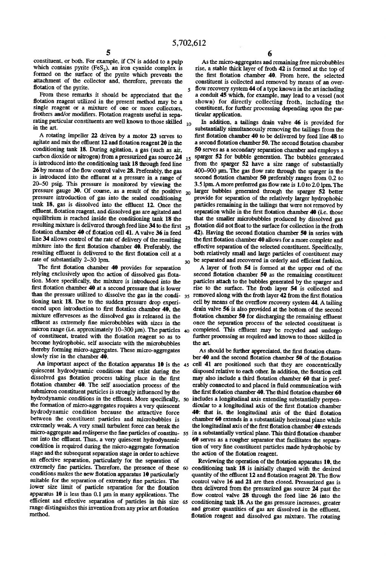5

constituent, or both. For example. if CN is added to a pulp which contains pyrite  $(F \in S_2)$ , an iron cyanide complex is formed on the surface of the pyrite which prevents the attachment of the collector and. therefore. prevents the flotation of the pyrite.

From these remarks it should be appreciated that the flotation reagent utilized in the present method may be a single reagent or a mixture of one or more collectors, frothers and/or modifiers. Flotation reagents useful in separating particular constituents are well known to those skilled  $_{10}$ in the art.

A rotating impeller 22 driven by a motor 23 serves to agitate and mix the effluent 12 and flotation reagent 20 in the conditioning tank 18. During agitation. a gas (such as air, carbon dioxide or nitrogen) from a pressurized gas source 24 is introduced into the conditioning tank 18 through feed line 26 by means of the flow control valve 28. Preferably, the gas is introduced into the effluent at a pressure in a range of 20-50 psig. This pressure is monitored by viewing the pressure gauge 30. Of course, as a result of the positive  $_{20}$ pressure introduction of gas into the sealed conditioning tank 18, gas is dissolved into the effluent 12. Once the effluent, flotation reagent, and dissolved gas are agitated and equilibrium is reached inside the conditioning tank 18 the resulting mixture is delivered through feed line  $34$  to the first  $_{25}$ flotation chamber 40 of flotation cell 41. A valve 36 in feed line 34 allows control of the rate of delivery of the resulting mixture into the first flotation chamber 40. Preferably, the resulting effluent is delivered to the first flotation cell at a rate of substantially 2-30 lpm.  $30$ 

The first flotation chamber 40 provides for separation relying exclusively upon the action of dissolved gas flotation. More specifically, the mixture is introduced into the first flotation chamber 40 at a second pressure that is lower tioning tank 18. Due to the sudden pressure drop experi enced upon introduction to first flotation chamber 40, the mixture effervesces as the dissolved gas is released in the effluent as extremely fine microbubbles with sizes in the micron range (i.e. approximately  $10-300 \text{ }\mu\text{m}$ ). The particles  $40$ of constituent, treated with the flotation reagent so as to become hydrophobic. self associate with the microbubbles thereby forming micro-aggregates. These micro-aggregates slowly rise in the chamber 40.

An important aspect of the flotation apparatus  $10$  is the 45 quiescent hydrodynamic conditions that exist during the dissolved gas flotation process taking place in the first flotation chamber 40. The self association process of the submicron constituent particles is strongly influenced by the hydrodynamic conditions in the effluent. More specifically, so includes a longitudinal axis extending substantially perpenthe formation of micro-aggregates requires a very quiescent hydrodynamic condition because the attractive force between the constituent particles and microbubbles is extremely weak. A very small turbulent force can break the micro-aggregate and redisperse the fine particles of constitu- 55 in a substantially vertical plane. This third flotation chamber ent into the effluent. Thus, a very quiescent hydrodynamic condition is required during the micro-aggregate formation stage and the subsequent separation stage in order to achieve an effective separation, particularly for the separation of extremely fine particles. Therefore, the presence of these 60 conditioning tank 18 is initially charged with the desired conditions makes the new flotation apparatus 10 particularly suitable for the separation of extremely fine particles. The lower size limit of particle separation for the flotation apparatus  $10$  is less than 0.1  $\mu$ m in many applications. The emetent and effective separation of particles in this size 65 range distinguishes this invention from any prior art flotation method.

6

As the micro-aggregates and remaining free microbubbles rise, a stable thick layer of froth 42 is formed at the top of the first flotation chamber 40. From here, the selected constituent is collected and removed by means of an over flow recovery system 44 of a type known in the art including a conduit 45 which, for example, may lead to a vessel (not shown) for directly collecting froth, including the constituent, for further processing depending upon the par ticular application.

In addition, a tailings drain valve 46 is provided for substantially simultaneously removing the tailings from the first flotation chamber 40 to be delivered by feed line 48 to a second flotation chamber 50. The second flotation chamber 50 serves as a secondary separation chamber and employs a sparger 52 for bubble generation. The bubbles generated from the sparger 52 have a size range of substantially 400-900 um. The gas flow rate through the sparger in the second flotation chamber 50 preferably ranges from 0.2 to 3.5 lpm. A more preferred gas flow rate is 1.0 to 2.0 lpm. The larger bubbles generated through the sparger 52 better provide for separation of the relatively larger hydrophobic particles remaining in the tailings that were not removed by separation while in the first flotation chamber 40 (i.e. those that the smaller microbubbles produced by dissolved gas flotation did not float to the surface for collection in the froth 42). Having the second flotation chamber 50 in series with the first flotation chamber 40 allows for a more complete and effective separation of the selected constituent. Specifically, both relatively small and large particles of constituent may be separated and recovered in orderly and efficient fashion.

than the pressure utilized to dissolve the gas in the condi-  $35$  removed along with the froth layer 42 from the first flotation A layer of froth 54 is formed at the upper end of the second flotation chamber 50 as the remaining constituent particles attach to the bubbles generated by the sparger and rise to the surface. The froth layer 54 is collected and cell by means of the overflow recovery system 44. A tailing drain valve 56 is also provided at the bottom of the second flotation chamber 50 for discharging the remaining effluent once the separation process of the selected constituent is completed. This effluent may be recycled and undergo further processing as required and known to those skilled in the art

> As should be further appreciated, the first flotation chamber 40 and the second flotation chamber 50 of the flotation cell 41 are positioned such that they are concentrically disposed relative to each other. In addition, the flotation cell may also include a third flotation chamber 60 that is preferably connected to and placed in fluid communication with the first flotation chamber 40. The third flotation chamber  $60$ dicular to a longitudinal axis of the first flotation chamber 40: that is, the longitudinal axis of the third flotation chamber 60 extends in a substantially horizonal plane while the longitudinal axis of the first flotation chamber 40 extends 60 serves as a rougher separator that facilitates the separa tion of very fine constituent particles made hydrophobic by the action of the flotation reagent.

> Reviewing the operation of the flotation apparatus 10, the quantity of the effluent 12 and flotation reagent 20. The flow control valve 16 and 21 are then closed. Pressurized gas is then delivered from the pressurized gas source 24 past the flow control valve 28 through the feed line 26 into the conditioning tank 18. As the gas pressure increases. greater and greater quantities of gas are dissolved in the effluent, flotation reagent and dissolved gas mixture. The rotating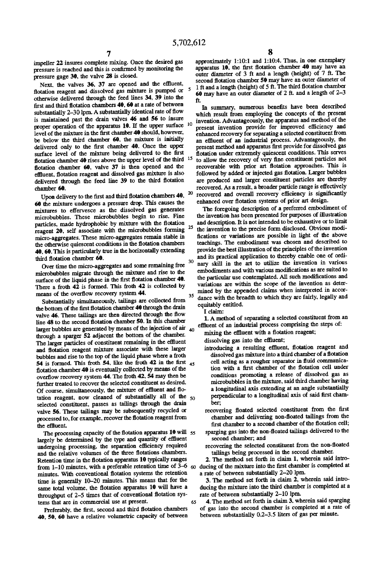impeller 22 insures complete mixing. Once the desired gas pressure is reached and this is confirmed by monitoring the pressure gage 30. the valve 28 is closed.

Next, the valves 36, 37 are opened and the effluent. flotation reagent and dissolved gas mixture is pumped or  $5$ otherwise delivered through the feed lines 34, 39 into the first and third flotation chambers  $40$ ,  $60$  at a rate of between substantially 2-30 lpm. A substantially identical rate of flow is maintained past the drain valves 46 and 56 to insure proper operation of the apparatus 10. If the upper surface  $10$ level of the mixture in the first chamber 40 should, however, be below the third chamber 69. the mixture is initially delivered only to the first chamber 40. Once the upper surface level of the mixture being delivered to the first flotation chamber 40 rises above the upper level of the third  $15$ flotation chamber 60, valve 37 is then opened and the effluent. flotation reagent and dissolved gas mixture is also delivered through the feed line 39 to the third flotation chamber 60.

Upon delivery to the first and third flotation chambers  $40$ ,  $20$ 60 the mixture undergoes a pressure drop. This causes the mixtures to effervesce as the dissolved gas generates microbubbles. These microbubbles begin to rise. Fine particles, made hydrophobic by mixture with the flotation reagent  $20$ , self associate with the microbubbles forming  $25$ micro-aggregates. These micro-aggregates remain stable in the otherwise quiescent conditions in the flotation chambers 40. 60. This is particularly true in the horizontally extending third flotation chamber 60.

Over time the micro-aggregates and some remaining free microbubbles migrate through the mixture and rise to the surface of the liquid phase in the first flotation chamber 40. There a froth 42 is formed. This froth 42 is collected by means of the overflow recovery system 44.

Substantially simultaneously. tailings are collected from the bottom of the first flotation chamber 40 through the drain valve 46. These tailings are then directed through the flow line 48 to the second flotation chamber 50. In this chamber larger bubbles are generated by means of the injection of air  $_{40}$ through a sparger 52 adjacent the bottom of the chamber. The larger particles of constituent remaining in the effluent and flotation reagent mixture associate with these larger bubbles and rise to the top of the liquid phase where a froth 54 is formed. This froth 54, like the froth 42 in the first  $_{45}$ flotation chamber 40 is eventually collected by means of the overflow recovery system 44. The froth 42, 54 may then be further treated to recover the selected constituent as desired. Of course, simultaneously, the mixture of effluent and flotation reagent, now cleaned of substantially all of the 50 selected constituent. passes as tailings through the drain valve 56. These tailings may be subsequently recycled or processed to, for example, recover the flotation reagent from the effluent.

The processing capacity of the flotation apparatus  $10$  will  $55$ largely be determined by the type and quantity of effluent undergoing processing, the separation efficiency required and the relative volumes of the three flotations chambers. Retention time in the flotation apparatus 10 typically ranges from 1–10 minutes, with a preferable retention time of  $3-6$  so ducing of the mixture into the first chamber is completed at minutes. With conventional flotation systems the retention time is generally 10-20 minutes. This means that for the same total volume, the flotation apparatus 10 will have a throughput of 2-5 times that of conventional flotation systems that are in commercial use at present. 65

Preferably, the first, second and third flotation chambers 40, 50, 60 have a relative volumetric capacity of between approximately 1:l0:1 and 1:l0:4. Thus, in one exemplary apparatus 10, the first flotation chamber 40 may have an outer diameter of 3 ft and a length (height) of 7 ft. The second flotation chamber 50 may have an outer diameter of 1 ft and a length (height) of 5 ft. The third flotation chamber 60 may have an outer diameter of 2 ft. and a length of 2-3 ft.

In summary, numerous benefits have been described which result from employing the concepts of the present invention. Advantageously, the apparatus and method of the present invention provide for improved efficiency and enhanced recovery for separating a selected constituent from an effluent of an industrial process. Advantageously, the present method and apparatus first provide for dissolved gas<br>flotation under extremely quiescent conditions. This serves to allow the recovery of very fine constituent particles not recoverable with prior art flotation approaches. This is followed by added or injected gas flotation. Larger bubbles are produced and larger constituent particles are thereby recovered. As a result, a broader particle range is effectively recovered and overall recovery efficiency is significantly enhanced over flotation systems of prior art design.

35 The foregoing description of a preferred embodiment of the invention has been presented for purposes of illustration and description. It is not intended to be exhaustive or to limit the invention to the precise form disclosed. Obvious modi fications or variations are possible in light of the above teachings. The embodiment was chosen and described to provide the best illustration of the principles of the invention and its practical application to thereby enable one of ordi nary skill in the art to utilize the invention in various embodiments and with various modifications as are suited to the particular use contemplated. All such modifications and variations are within the scope of the invention as deter mined by the appended claims when interpreted in accor dance with the breadth to which they are fairly, legally and equitably entitled.

I claim:

30

1. A method of separating a selected constiment from an effluent of an industrial process comprising the steps of:

mixing the effluent with a flotation reagent;

dissolving gas into the effluent;

introducing a resulting effluent, flotation reagent and dissolved gas mixture into a third chamber of a flotation cell acting as a rougher separator in fluid communication with a first chamber of the flotation cell under conditions promoting a release of dissolved gas as a longitudinal axis extending at an angle substantially perpendicular to a longitudinal axis of said first chamber;

recovering floated selected constituent from the first chamber and delivering non-floated tailings from the first chamber to a second chamber of the flotation cell;

sparging gas into the non-floated tailings delivered to the second chamber; and

recovering the selected constituent from the non-floated tailings being processed in the second chamber.

2. The method set forth in claim 1, wherein said intro a rate of between substantially 2-20 1pm.

3. The method set forth in claim 2, wherein said intro ducing the mixture into the third chamber is completed at a rate of between substantially 2-10 1pm.

4. The method set forth in claim 3. wherein said sparging of gas into the second chamber is completed at a rate of between substantially 0.2-3.5 liters of gas per minute.